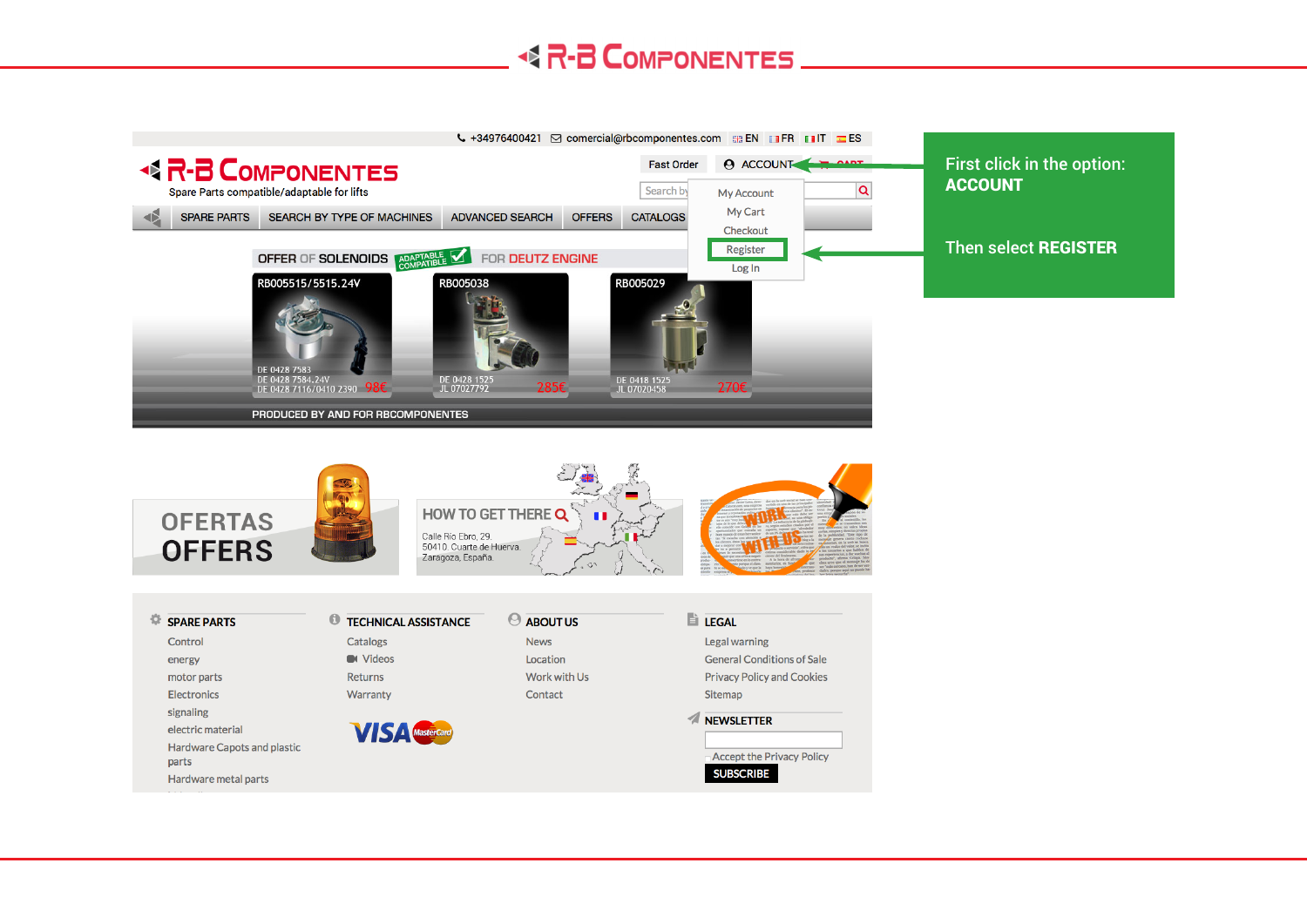#### **R-B COMPONENTES**

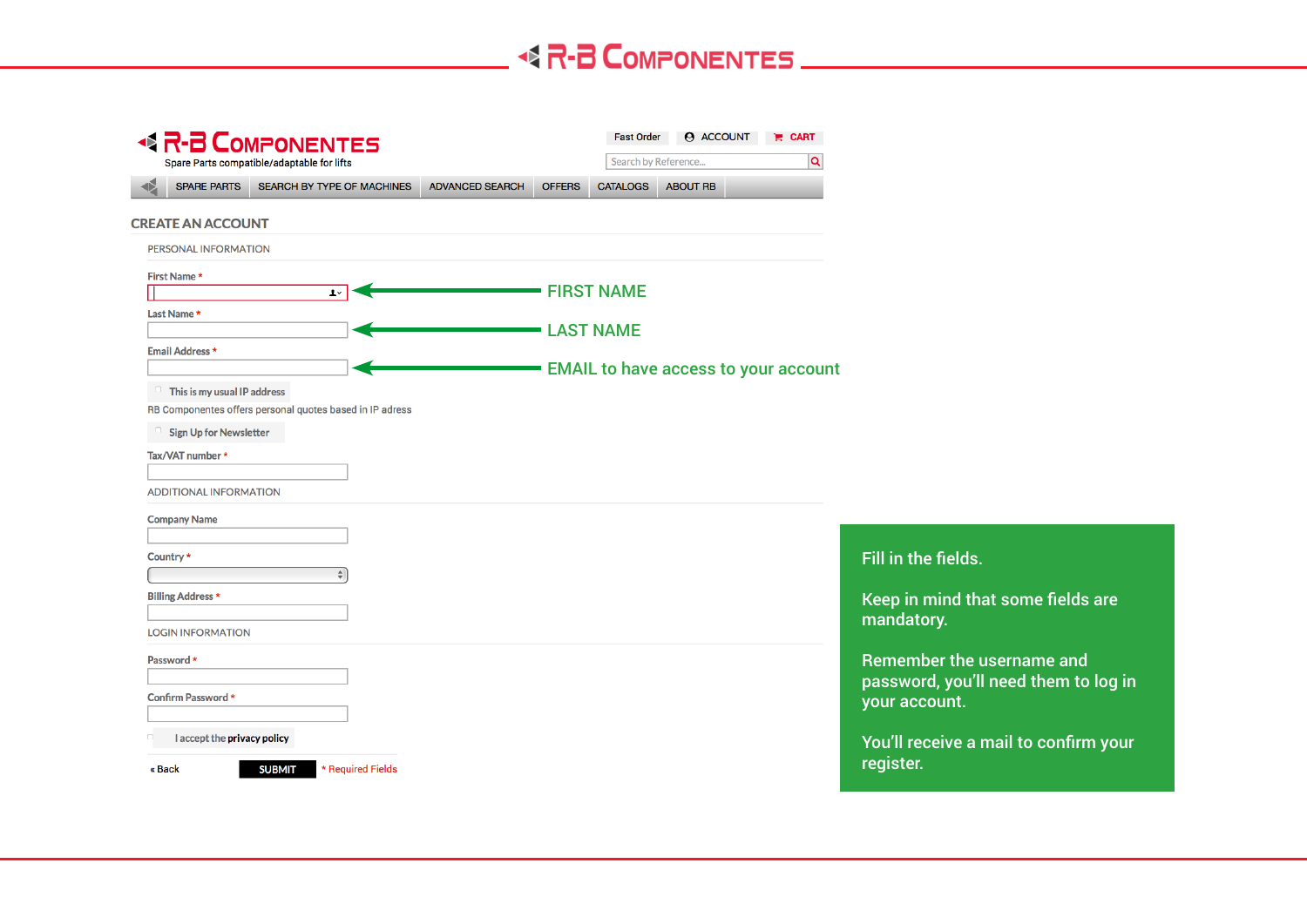| <b>BR-B COMPONENTES</b>       |                                                          |                        |               | <b>Fast Order</b> | <b>ACCOUNT</b>                              | $R$ CART |                                                                   |
|-------------------------------|----------------------------------------------------------|------------------------|---------------|-------------------|---------------------------------------------|----------|-------------------------------------------------------------------|
|                               | Spare Parts compatible/adaptable for lifts               |                        |               |                   | Search by Reference                         | Q        |                                                                   |
| <b>SPARE PARTS</b>            | SEARCH BY TYPE OF MACHINES                               | <b>ADVANCED SEARCH</b> | <b>OFFERS</b> | <b>CATALOGS</b>   | <b>ABOUT RB</b>                             |          |                                                                   |
| <b>CREATE AN ACCOUNT</b>      |                                                          |                        |               |                   |                                             |          |                                                                   |
| PERSONAL INFORMATION          |                                                          |                        |               |                   |                                             |          |                                                                   |
| First Name*                   |                                                          |                        |               |                   |                                             |          |                                                                   |
| Last Name *                   | $1 -$                                                    |                        |               | <b>FIRST NAME</b> |                                             |          |                                                                   |
|                               |                                                          |                        |               | <b>LAST NAME</b>  |                                             |          |                                                                   |
| <b>Email Address *</b>        |                                                          |                        |               |                   |                                             |          |                                                                   |
|                               | This is my usual IP address                              |                        |               |                   | <b>EMAIL to have access to your account</b> |          |                                                                   |
|                               | RB Componentes offers personal quotes based in IP adress |                        |               |                   |                                             |          |                                                                   |
| <b>Sign Up for Newsletter</b> |                                                          |                        |               |                   |                                             |          |                                                                   |
| Tax/VAT number *              |                                                          |                        |               |                   |                                             |          |                                                                   |
| <b>ADDITIONAL INFORMATION</b> |                                                          |                        |               |                   |                                             |          |                                                                   |
| <b>Company Name</b>           |                                                          |                        |               |                   |                                             |          |                                                                   |
|                               |                                                          |                        |               |                   |                                             |          |                                                                   |
| Country *                     | $\div$                                                   |                        |               |                   |                                             |          | Fill in the fields.                                               |
| <b>Billing Address *</b>      |                                                          |                        |               |                   |                                             |          | Keep in mind that some fields are                                 |
|                               |                                                          |                        |               |                   |                                             |          | mandatory.                                                        |
| <b>LOGIN INFORMATION</b>      |                                                          |                        |               |                   |                                             |          |                                                                   |
| Password *                    |                                                          |                        |               |                   |                                             |          | Remember the username and<br>password, you'll need them to log in |
| Confirm Password *            |                                                          |                        |               |                   |                                             |          | your account.                                                     |
|                               | I accept the privacy policy                              |                        |               |                   |                                             |          | You'll receive a mail to confirm your                             |
| « Back                        | <b>SUBMIT</b><br>* Required Fields                       |                        |               |                   |                                             |          | register.                                                         |
|                               |                                                          |                        |               |                   |                                             |          |                                                                   |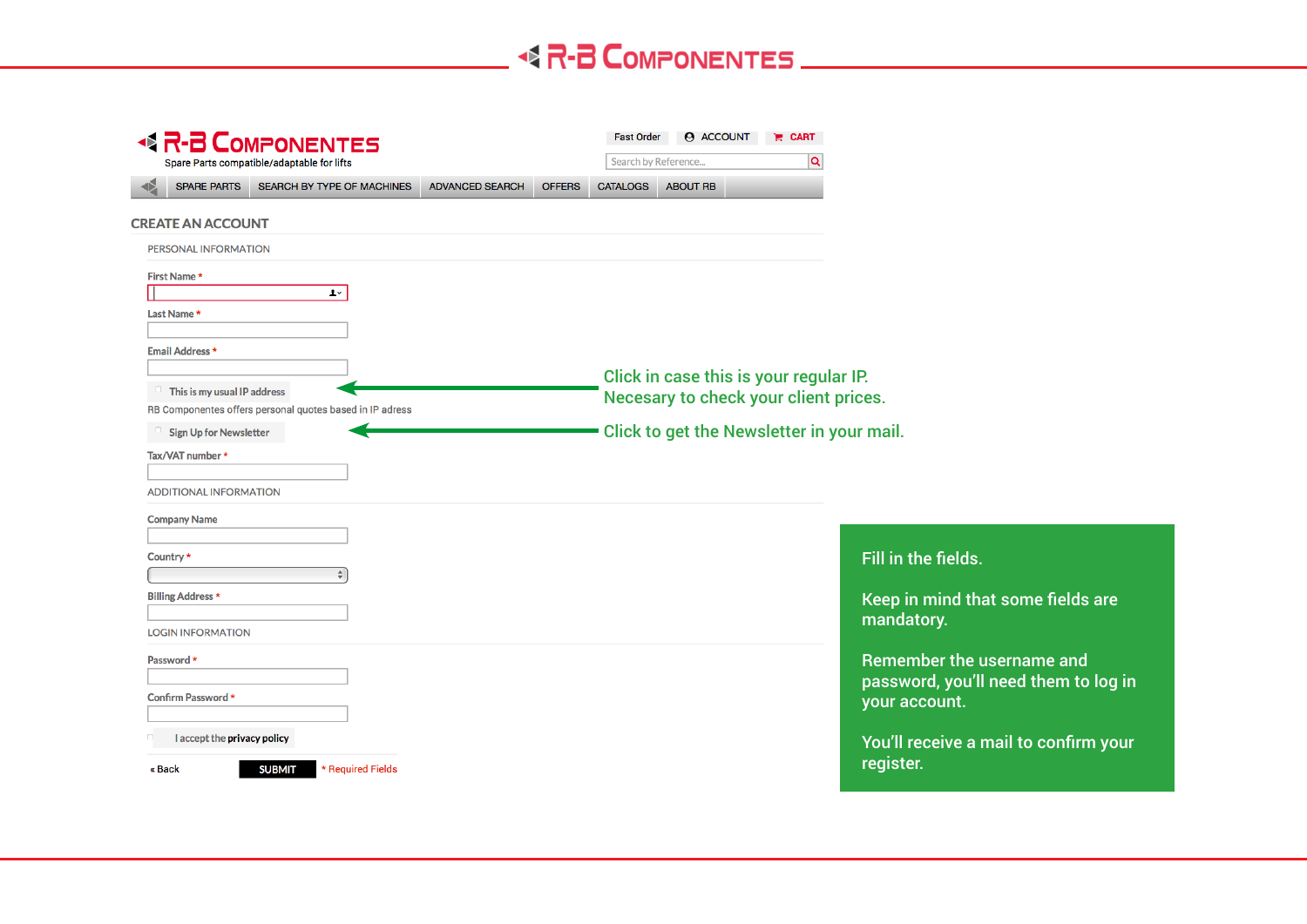| <b>BR-B COMPONENTES</b><br>Spare Parts compatible/adaptable for lifts                     |               |                                                                                 | <b>ACCOUNT</b><br><b>Fast Order</b>       | $R$ CART |                                                                   |
|-------------------------------------------------------------------------------------------|---------------|---------------------------------------------------------------------------------|-------------------------------------------|----------|-------------------------------------------------------------------|
|                                                                                           |               |                                                                                 | Search by Reference                       | Q        |                                                                   |
| SEARCH BY TYPE OF MACHINES<br><b>SPARE PARTS</b><br><b>ADVANCED SEARCH</b>                | <b>OFFERS</b> | <b>CATALOGS</b>                                                                 | <b>ABOUT RB</b>                           |          |                                                                   |
| <b>CREATE AN ACCOUNT</b>                                                                  |               |                                                                                 |                                           |          |                                                                   |
| PERSONAL INFORMATION                                                                      |               |                                                                                 |                                           |          |                                                                   |
| First Name*                                                                               |               |                                                                                 |                                           |          |                                                                   |
| $1 -$<br>Last Name *                                                                      |               |                                                                                 |                                           |          |                                                                   |
|                                                                                           |               |                                                                                 |                                           |          |                                                                   |
| <b>Email Address *</b>                                                                    |               |                                                                                 |                                           |          |                                                                   |
| This is my usual IP address                                                               |               | Click in case this is your regular IP.<br>Necesary to check your client prices. |                                           |          |                                                                   |
| RB Componentes offers personal quotes based in IP adress<br><b>Sign Up for Newsletter</b> |               |                                                                                 | Click to get the Newsletter in your mail. |          |                                                                   |
| Tax/VAT number *                                                                          |               |                                                                                 |                                           |          |                                                                   |
|                                                                                           |               |                                                                                 |                                           |          |                                                                   |
| <b>ADDITIONAL INFORMATION</b>                                                             |               |                                                                                 |                                           |          |                                                                   |
| <b>Company Name</b>                                                                       |               |                                                                                 |                                           |          |                                                                   |
| Country*                                                                                  |               |                                                                                 |                                           |          | Fill in the fields.                                               |
| <b>Billing Address *</b>                                                                  |               |                                                                                 |                                           |          | Keep in mind that some fields are                                 |
|                                                                                           |               |                                                                                 |                                           |          | mandatory.                                                        |
| <b>LOGIN INFORMATION</b>                                                                  |               |                                                                                 |                                           |          |                                                                   |
| Password *                                                                                |               |                                                                                 |                                           |          | Remember the username and<br>password, you'll need them to log in |
| Confirm Password *                                                                        |               |                                                                                 |                                           |          | your account.                                                     |
| I accept the privacy policy                                                               |               |                                                                                 |                                           |          |                                                                   |
| <b>SUBMIT</b><br>* Required Fields<br>« Back                                              |               |                                                                                 |                                           |          | You'll receive a mail to confirm your<br>register.                |
|                                                                                           |               |                                                                                 |                                           |          |                                                                   |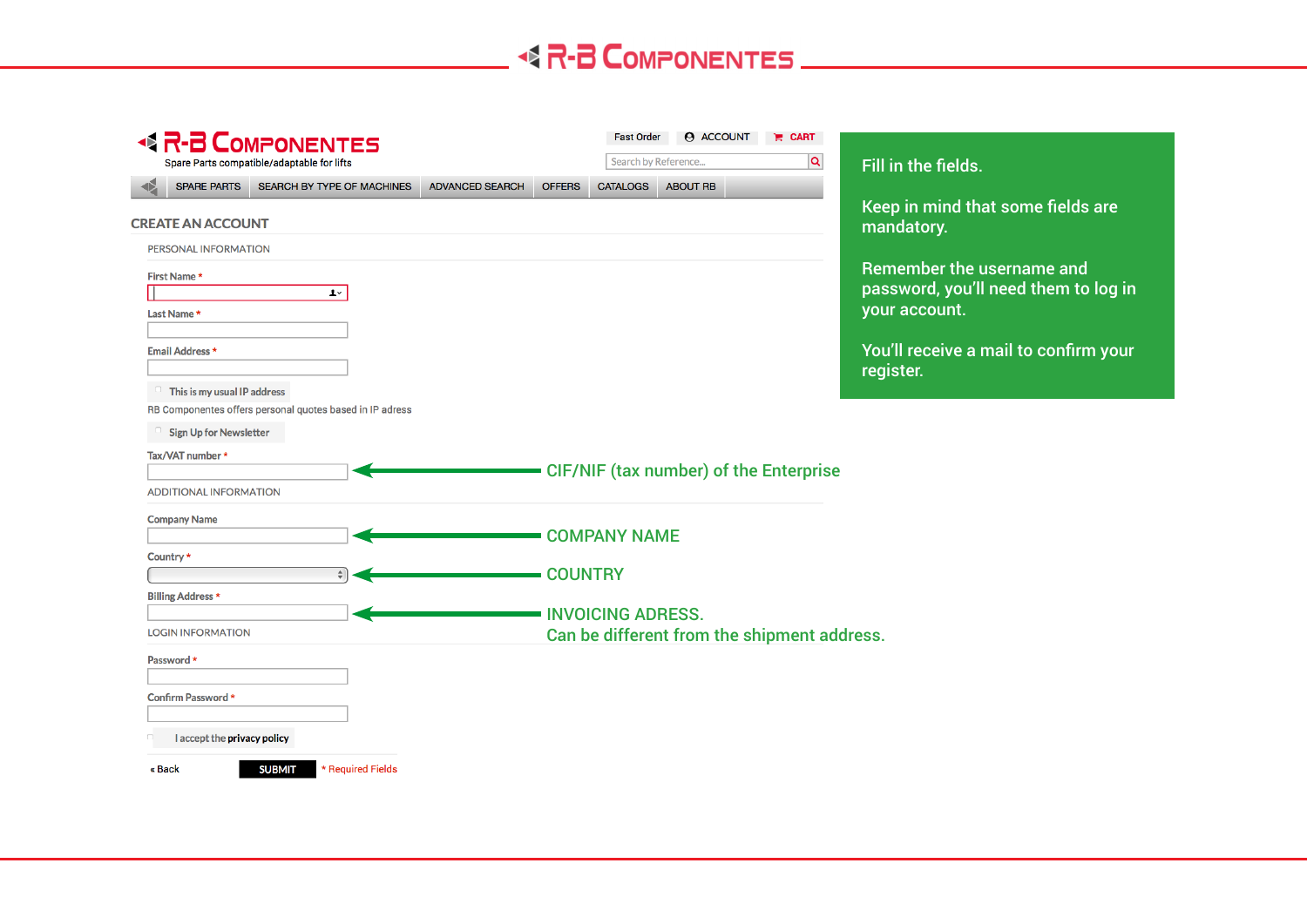| <b>BR-B COMPONENTES</b>                                                                 | <b>ACCOUNT</b><br><b>Fast Order</b><br>$R$ CART     |                                                       |  |  |  |
|-----------------------------------------------------------------------------------------|-----------------------------------------------------|-------------------------------------------------------|--|--|--|
| Spare Parts compatible/adaptable for lifts                                              | Q<br>Search by Reference                            | Fill in the fields.                                   |  |  |  |
| <b>SPARE PARTS</b><br>SEARCH BY TYPE OF MACHINES<br><b>ADVANCED SEARCH</b>              | <b>ABOUT RB</b><br><b>OFFERS</b><br><b>CATALOGS</b> | Keep in mind that some fields are                     |  |  |  |
| <b>CREATE AN ACCOUNT</b>                                                                |                                                     | mandatory.                                            |  |  |  |
| PERSONAL INFORMATION                                                                    |                                                     |                                                       |  |  |  |
| First Name*                                                                             |                                                     | Remember the username and                             |  |  |  |
| $\mathbf{L}$                                                                            |                                                     | password, you'll need them to log in<br>your account. |  |  |  |
| Last Name                                                                               |                                                     |                                                       |  |  |  |
| <b>Email Address *</b>                                                                  |                                                     | You'll receive a mail to confirm your                 |  |  |  |
|                                                                                         |                                                     | register.                                             |  |  |  |
| This is my usual IP address<br>RB Componentes offers personal quotes based in IP adress |                                                     |                                                       |  |  |  |
| <b>Sign Up for Newsletter</b>                                                           |                                                     |                                                       |  |  |  |
| Tax/VAT number *                                                                        |                                                     |                                                       |  |  |  |
|                                                                                         | CIF/NIF (tax number) of the Enterprise              |                                                       |  |  |  |
| <b>ADDITIONAL INFORMATION</b>                                                           |                                                     |                                                       |  |  |  |
| <b>Company Name</b>                                                                     |                                                     |                                                       |  |  |  |
| Country*                                                                                | <b>COMPANY NAME</b>                                 |                                                       |  |  |  |
|                                                                                         |                                                     |                                                       |  |  |  |
| $\div$                                                                                  | <b>COUNTRY</b>                                      |                                                       |  |  |  |
|                                                                                         |                                                     |                                                       |  |  |  |
| <b>Billing Address *</b>                                                                | <b>INVOICING ADRESS.</b>                            |                                                       |  |  |  |
| <b>LOGIN INFORMATION</b>                                                                | Can be different from the shipment address.         |                                                       |  |  |  |
| Password *                                                                              |                                                     |                                                       |  |  |  |
| Confirm Password *                                                                      |                                                     |                                                       |  |  |  |
|                                                                                         |                                                     |                                                       |  |  |  |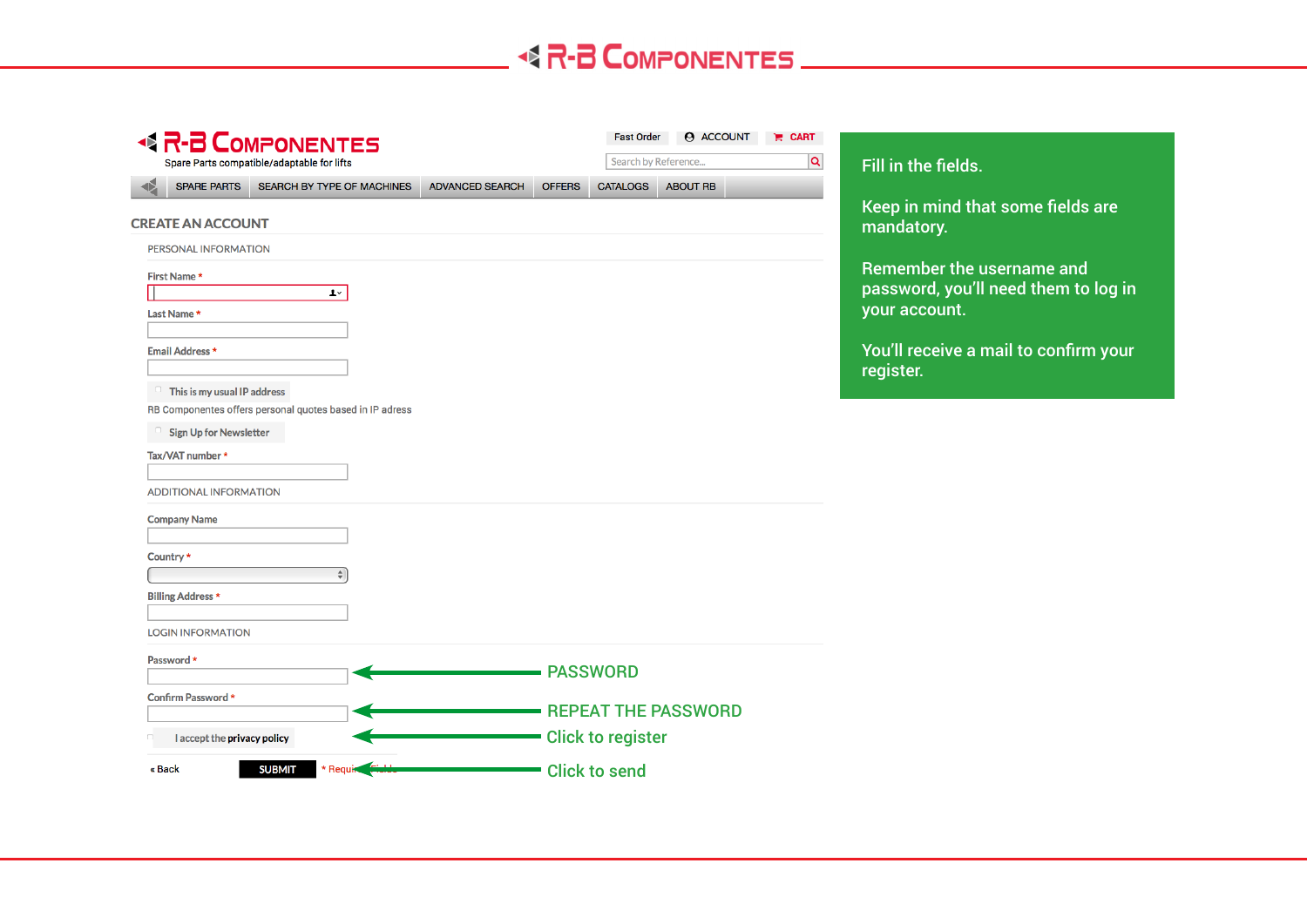| <b>R-B COMPONENTES</b><br>$\blacklozenge$                                  | <b>Fast Order</b>                | <b>ACCOUNT</b>      | $R$ CART                                              |
|----------------------------------------------------------------------------|----------------------------------|---------------------|-------------------------------------------------------|
| Spare Parts compatible/adaptable for lifts                                 |                                  | Search by Reference | $\overline{a}$<br>Fill in the fields.                 |
| <b>SPARE PARTS</b><br>SEARCH BY TYPE OF MACHINES<br><b>ADVANCED SEARCH</b> | <b>CATALOGS</b><br><b>OFFERS</b> | <b>ABOUT RB</b>     |                                                       |
| <b>CREATE AN ACCOUNT</b>                                                   |                                  |                     | Keep in mind that some fields are<br>mandatory.       |
| PERSONAL INFORMATION                                                       |                                  |                     |                                                       |
| First Name*                                                                |                                  |                     | Remember the username and                             |
| $\mathbf{L}^{\vee}$                                                        |                                  |                     | password, you'll need them to log in<br>your account. |
| Last Name *                                                                |                                  |                     |                                                       |
| Email Address *                                                            |                                  |                     | You'll receive a mail to confirm your                 |
|                                                                            |                                  |                     | register.                                             |
| This is my usual IP address                                                |                                  |                     |                                                       |
| RB Componentes offers personal quotes based in IP adress                   |                                  |                     |                                                       |
| <b>Sign Up for Newsletter</b>                                              |                                  |                     |                                                       |
| Tax/VAT number *                                                           |                                  |                     |                                                       |
| ADDITIONAL INFORMATION                                                     |                                  |                     |                                                       |
| <b>Company Name</b>                                                        |                                  |                     |                                                       |
|                                                                            |                                  |                     |                                                       |
| Country *                                                                  |                                  |                     |                                                       |
|                                                                            |                                  |                     |                                                       |
| <b>Billing Address *</b>                                                   |                                  |                     |                                                       |
| <b>LOGIN INFORMATION</b>                                                   |                                  |                     |                                                       |
| Password *                                                                 |                                  |                     |                                                       |
|                                                                            | <b>PASSWORD</b>                  |                     |                                                       |
| Confirm Password *                                                         |                                  |                     |                                                       |
|                                                                            | <b>REPEAT THE PASSWORD</b>       |                     |                                                       |
|                                                                            |                                  |                     |                                                       |
| I accept the privacy policy                                                | <b>Click to register</b>         |                     |                                                       |